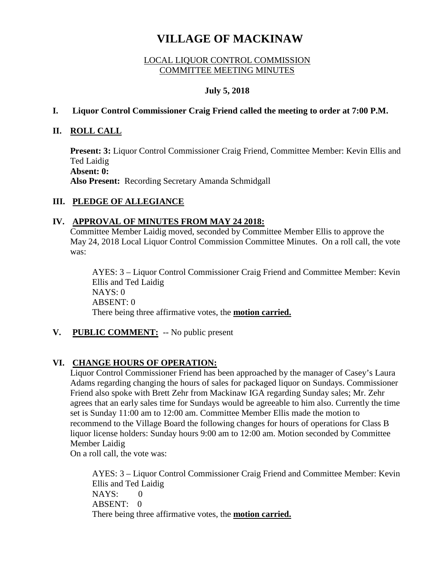# **VILLAGE OF MACKINAW**

## LOCAL LIQUOR CONTROL COMMISSION COMMITTEE MEETING MINUTES

## **July 5, 2018**

## **I. Liquor Control Commissioner Craig Friend called the meeting to order at 7:00 P.M.**

## **II. ROLL CALL**

**Present: 3:** Liquor Control Commissioner Craig Friend, Committee Member: Kevin Ellis and Ted Laidig **Absent: 0: Also Present:** Recording Secretary Amanda Schmidgall

## **III. PLEDGE OF ALLEGIANCE**

## **IV. APPROVAL OF MINUTES FROM MAY 24 2018:**

Committee Member Laidig moved, seconded by Committee Member Ellis to approve the May 24, 2018 Local Liquor Control Commission Committee Minutes. On a roll call, the vote was:

AYES: 3 – Liquor Control Commissioner Craig Friend and Committee Member: Kevin Ellis and Ted Laidig  $NAYS: 0$ ABSENT: 0 There being three affirmative votes, the **motion carried.**

## **V. PUBLIC COMMENT:** -- No public present

## **VI. CHANGE HOURS OF OPERATION:**

Liquor Control Commissioner Friend has been approached by the manager of Casey's Laura Adams regarding changing the hours of sales for packaged liquor on Sundays. Commissioner Friend also spoke with Brett Zehr from Mackinaw IGA regarding Sunday sales; Mr. Zehr agrees that an early sales time for Sundays would be agreeable to him also. Currently the time set is Sunday 11:00 am to 12:00 am. Committee Member Ellis made the motion to recommend to the Village Board the following changes for hours of operations for Class B liquor license holders: Sunday hours 9:00 am to 12:00 am. Motion seconded by Committee Member Laidig

On a roll call, the vote was:

AYES: 3 – Liquor Control Commissioner Craig Friend and Committee Member: Kevin Ellis and Ted Laidig NAYS: 0  $ABSENT: 0$ There being three affirmative votes, the **motion carried.**